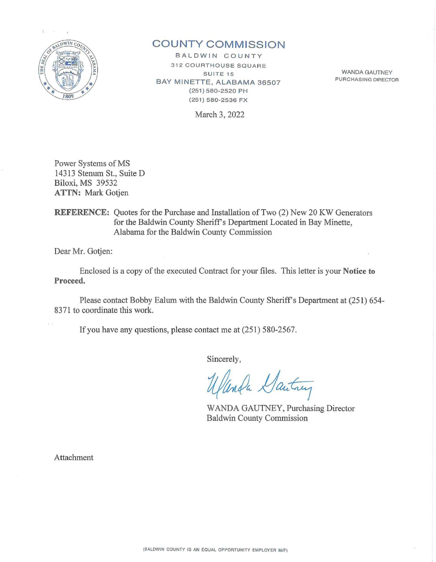

# **C OUNTY COMMISSIO N**

BALDWIN COUNTY 312 COURTHOUSE SQUARE SUITE<sub>15</sub> BAY MINETTE, ALABAMA 36507 (251) 580-2520 PH (251) 580-2536 FX

March 3, 2022

WANDA GAUTNEY PURCHASING DIRECTOR

Power Systems of MS 14313 Stenum St., Suite D Biloxi, MS 39532 **ATTN:** Mark Gotjen

**REFERENCE:** Quotes for the Purchase and Installation of Two (2) New 20 KW Generators for the Baldwin County Sheriff's Department Located in Bay Minette, Alabama for the Baldwin County Commission

Dear Mr. Gotjen:

Enclosed is a copy of the executed Contract for your files. This letter is your **Notice to Proceed.** 

Please contact Bobby Ealum with the Baldwin County Sheriff's Department at (251) 654- 8371 to coordinate this work.

If you have any questions, please contact me at  $(251)$  580-2567.

Sincerely,

Unda Santrey

WANDA GAUTNEY, Purchasing Director Baldwin County Commission

Attachment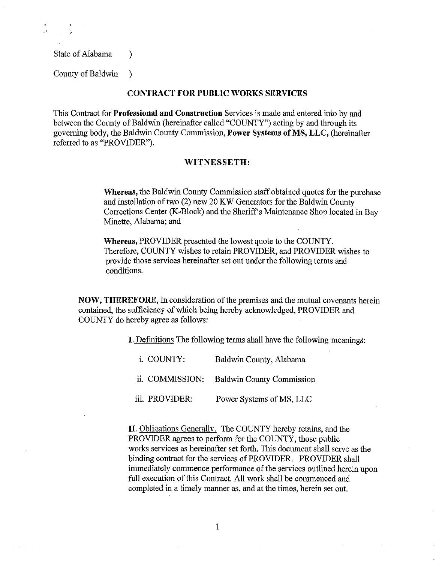State of Alabama (b)

County of Baldwin )

## **CONTRACT FOR PUBLIC WORKS SERVICES**

This Contract for **Professional and Construction** Services is made and entered into by and between the County of Baldwin (hereinafter called "COUNTY") acting by and through its governing body, the Baldwin County Commission, **Power Systems of MS, LLC,** (hereinafter referred to as "PROVIDER").

## **WITNESSETH:**

**Whereas,** the Baldwin County Commission staff obtained quotes for the purchase and installation of two (2) new 20 KW Generators for the Baldwin County Corrections Center (K-Block) and the Sheriff's Maintenance Shop located in Bay Minette, Alabama; and

**Whereas,** PROVIDER presented the lowest quote to the COUNTY. Therefore, COUNTY wishes to retain PROVIDER, and PROVIDER wishes to provide those services hereinafter set out under the following terms and conditions.

**NOW, THEREFORE,** in consideration of the premises and the mutual covenants herein contained, the sufficiency of which being hereby acknowledged, PROVIDER and COUNTY do hereby agree as follows:

I. Definitions The following terms shall have the following meanings:

i. COUNTY: Baldwin County, Alabama ii. COMMISSION: Baldwin County Commission iii. PROVIDER: Power Systems of MS, LLC

**II.** Obligations Generally. The COUNTY hereby retains, and the PROVIDER agrees to perform for the COUNTY, those public works services as hereinafter set forth. This document shall serve as the binding contract for the services of PROVIDER. PROVIDER shall immediately commence performance of the services outlined herein upon full execution of this Contract. All work shall be commenced and completed in a timely manner as, and at the times, herein set out.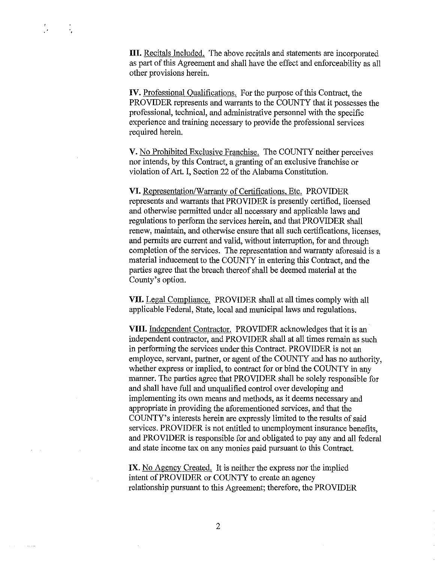**Contract Contract** 

III. Recitals Included. The above recitals and statements are incorporated as part of this Agreement and shall have the effect and enforceability as all other provisions herein.

**IV.** Professional Qualifications. For the purpose of this Contract, the PROVIDER represents and warrants to the COUNTY that it possesses the professional, technical, and administrative personnel with the specific experience and training necessary to provide the professional services required herein.

**V.** No Prohibited Exclusive Franchise. The COUNTY neither perceives nor intends, by this Contract, a granting of an exclusive franchise or violation of Art. I, Section 22 of the Alabama Constitution.

**VI.** Representation/Warranty of Certifications, Etc. PROVIDER represents and warrants that PROVIDER is presently certified, licensed and otherwise permitted under all necessary and applicable laws and regulations to perform the services herein, and that PROVIDER shall renew, maintain, and otherwise ensure that all such certifications, licenses, and permits are current and valid, without interruption, for and through completion of the services. The representation and warranty aforesaid is a material inducement to the COUNTY in entering this Contract, and the parties agree that the breach thereof shall be deemed material at the County's option.

VII. Legal Compliance. PROVIDER shall at all times comply with all applicable Federal, State, local and municipal laws and regulations.

**VIII.** Independent Contractor. PROVIDER acknowledges that it is an independent contractor, and PROVIDER shall at all times remain as such in performing the services under this Contract. PROVIDER is not an employee, servant, partner, or agent of the COUNTY and has no authority, whether express or implied, to contract for or bind the COUNTY in any manner. The parties agree that PROVIDER shall be solely responsible for and shall have full and unqualified control over developing and implementing its own means and methods, as it deems necessary and appropriate in providing the aforementioned services, and that the COUNTY's interests herein are expressly limited to the results of said services. PROVIDER is not entitled to unemployment insurance benefits, and PROVIDER is responsible for and obligated to pay any and all federal and state income tax on any monies paid pursuant to this Contract.

IX. No Agency Created. It is neither the express nor the implied intent of PROVIDER or COUNTY to create an agency relationship pursuant to this Agreement; therefore, the PROVIDER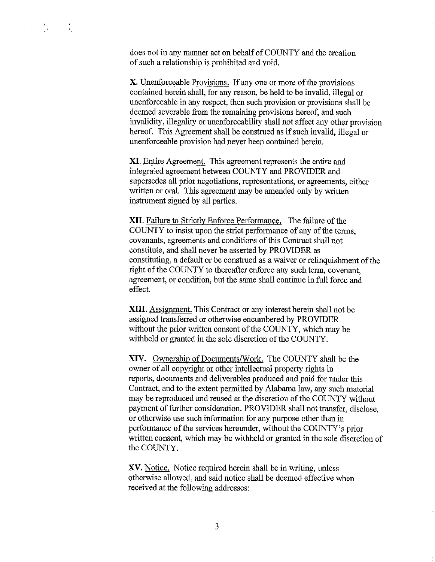$\mathcal{G}(\mathcal{C})$ ·.  $\mathcal{L}^{\mathcal{L}}$ 

**Contractor** 

does not in any manner act on behalf of COUNTY and the creation of such a relationship is prohibited and void.

X. Unenforceable Provisions. If any one or more of the provisions contained herein shall, for any reason, be held to be invalid, illegal or unenforceable in any respect, then such provision or provisions shall be deemed severable from the remaining provisions hereof, and such invalidity, illegality or unenforceability shall not affect any other provision hereof. This Agreement shalt be construed as if such invalid, illegal or unenforceable provision had never been contained herein.

XI. Entire Agreement. This agreement represents the entire and integrated agreement between COUNTY and PROVIDER and supersedes all prior negotiations, representations, or agreements, either written or oral. This agreement may be amended only by written instrument signed by all parties.

XII. Failure to Strictly Enforce Performance. The failure of the COUNTY to insist upon the strict performance of any of the terms, covenants, agreements and conditions of this Contract shall not constitute, and shall never be asserted by PROVIDER as constituting, a default or be construed as a waiver or relinquishment of the right of the COUNTY to thereafter enforce any such term, covenant, agreement, or condition, but the same shall continue in full force and effect.

XIII. Assignment. This Contract or any interest herein shall not be assigned transferred or otherwise encumbered by PROVIDER without the prior written consent of the COUNTY, which may be withheld or granted in the sole discretion of the COUNTY.

XIV. Ownership of Documents/Work. The COUNTY shall be the owner of all copyright or other intellectual property rights in reports, documents and deliverables produced and paid for under this Contract, and to the extent permitted by Alabama law, any such material may be reproduced and reused at the discretion of the COUNTY without payment of further consideration. PROVIDER shall not transfer, disclose, or otherwise use such information for any purpose other than in performance of the services hereunder, without the COUNTY's prior written consent, which may be withheld or granted in the sole discretion of the COUNTY.

XV. Notice. Notice required herein shall be in writing, unless otherwise allowed, and said notice shall be deemed effective when received at the following addresses: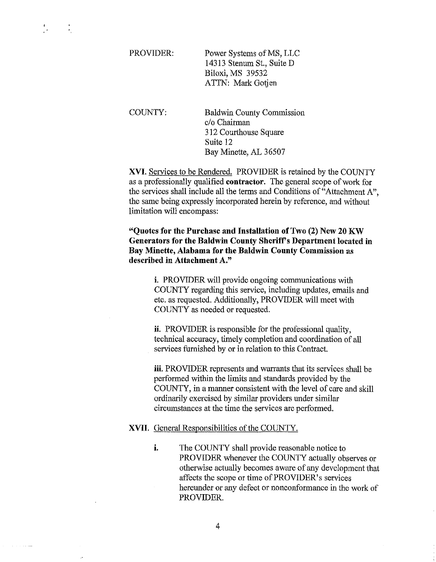PROVIDER: Power Systems of MS, LLC 14313 Stenum St., Suite D Biloxi, MS 39532 ATTN: Mark Gotjen

÷.

COUNTY: Baldwin County Commission c/o Chairman 312 Courthouse Square Suite 12 Bay Minette, AL 36507

XVI. Services to be Rendered. PROVIDER is retained by the COUNTY as a professionally qualified contractor. The general scope of work for the services shall include all the terms and Conditions of"Attachment A", the same being expressly incorporated herein by reference, and without limitation will encompass:

"Quotes for the Purchase and Installation of Two (2) New 20 KW Generators for the Baldwin County Sheriff's Department located in Bay Minette, Alabama for the Baldwin County Commission as described in Attachment A."

> i. PROVIDER will provide ongoing communications with COUNTY regarding this service, including updates, emails and etc. as requested. Additionally, PROVIDER will meet with COUNTY as needed or requested.

ii. PROVIDER is responsible for the professional quality, teclmical accuracy, timely completion and coordination of all services furnished by or in relation to this Contract.

iii. PROVIDER represents and warrants that its services shall be performed within the limits and standards provided by the COUNTY, in a manner consistent with the level of care and skill ordinarily exercised by similar providers under similar circumstances at the time the services are performed.

## XVII. General Responsibilities of the COUNTY.

i. The COUNTY shall provide reasonable notice to PROVIDER whenever the COUNTY actually observes or otherwise actually becomes aware of any development that affects the scope or time of PROVIDER's services hereunder or any defect or nonconformance in the work of PROVIDER.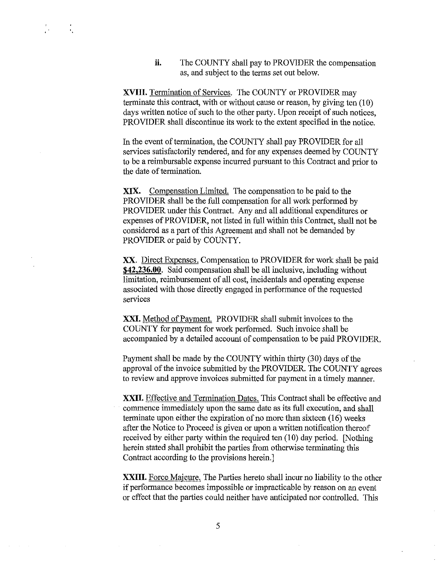**ii.** The COUNTY shall pay to PROVIDER the compensation as, and subject to the terms set out below.

XVIII. Termination of Services. The COUNTY or PROVIDER may terminate this contract, with or without cause or reason, by giving ten (10) days written notice of such to the other party. Upon receipt of such notices, PROVIDER shall discontinue its work to the extent specified in the notice.

 $\mathbf{r}_1$ 

In the event of termination, the COUNTY shall pay PROVIDER for all services satisfactorily rendered, and for any expenses deemed by COUNTY to be a reimbursable expense incurred pursuant to this Contract and prior to the date of termination.

XIX. Compensation Limited. The compensation to be paid to the PROVIDER shall be the full compensation for all work performed by PROVIDER under this Contract. Any and all additional expenditures or expenses of PROVIDER, not listed in full within this Contract, shall not be considered as a part of this Agreement and shall not be demanded by PROVIDER or paid by COUNTY.

XX. Direct Expenses. Compensation to PROVIDER for work shall be paid **\$42,236.00.** Said compensation shall be all inclusive, including without limitation, reimbursement of all cost, incidentals and operating expense associated with those directly engaged in performance of the requested services

XXI. Method of Payment. PROVIDER shall submit invoices to the COUNTY for payment for work performed. Such invoice shall be accompanied by a detailed account of compensation to be paid PROVIDER.

Payment shall be made by the COUNTY within thirty (30) days of the approval of the invoice submitted by the PROVIDER. The COUNTY agrees to review and approve invoices submitted for payment in a timely manner.

XXII. Effective and Termination Dates. This Contract shall be effective and commence immediately upon the same date as its full execution, and shall terminate upon either the expiration of no more than sixteen (16) weeks after the Notice to Proceed is given or upon a written notification thereof received by either party within the required ten (10) day period. [Nothing herein stated shall prohibit the parties from otherwise terminating this Contract according to the provisions herein.]

XXIII. Force Majeure. The Parties hereto shall incur no liability to the other if performance becomes impossible or impracticable by reason on an event or effect that the parties could neither have anticipated nor controlled. This

5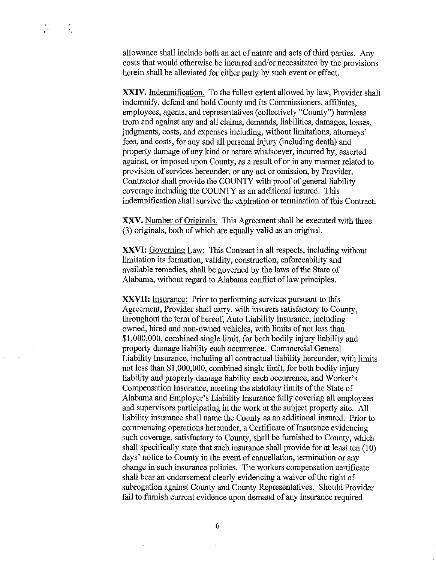allowance shall include both an act of nature and acts of third parties. Any costs that would otherwise be incurred and/or necessitated by the provisions herein shall be alleviated for either party by such event or effect.

 $\mathbf{r}$ 

 $\sim 100$  km s  $^{-1}$ 

XXIV. Indemnification. To the fullest extent allowed by law, Provider shall indemnify, defend and hold County and its Commissioners, affiliates, employees, agents, and representatives (collectively "County") harmless from and against any and all claims, demands, liabilities, damages, losses, judgments, costs, and expenses including, without limitations, attorneys' fees, and costs, for any and all personal injury (including death) and property damage of any kind or nature whatsoever, incurred by, asserted against, or imposed upon County, as a result of or in any manner related to provision of services hereunder, or any act or omission, by Provider. Contractor shall provide the COUNTY with proof of general liability coverage including the COUNTY as an additional insured. This indemnification shall survive the expiration or termination of this Contract.

XXV. Number of Originals. This Agreement shall be executed with three (3) originals, both of which are equally valid as an original.

XXVI: Governing Law: This Contract in all respects, including without limitation its formation, validity, construction, enforceability and available remedies, shall be governed by the laws of the State of Alabama, without regard to Alabama conflict of law principles.

XXVII: Insurance: Prior to performing services pursuant to this Agreement, Provider shall carry, with insurers satisfactory to County, throughout the term of hereof, Auto Liability Insurance, including owned, hired and non-owned vehicles, with limits of not less than \$1,000,000, combined single limit, for both bodily injury liability and property damage liability each occurrence. Connnercial General Liability Insurance, including all contractual liability hereunder, with limits not less than \$1,000,000, combined single limit, for both bodily injury liability and property damage liability each occurrence, and Worker's Compensation Insurance, meeting the statutory limits of the State of Alabama and Employer's Liability Insurance fully covering all employees and supervisors participating in the work at the subject property site. All liability insurance shall name the County as an additional insured. Prior to commencing operations hereunder, a Certificate of Insurance evidencing such coverage, satisfactory to County, shall be furnished to County, which shall specifically state that such insurance shall provide for at least ten (10) days' notice to County in the event of cancellation, termination or any change in such insurance policies. The workers compensation certificate shall bear an endorsement clearly evidencing a waiver of the right of subrogation against County and County Representatives. Should Provider fail to furnish current evidence upon demand of any insurance required

6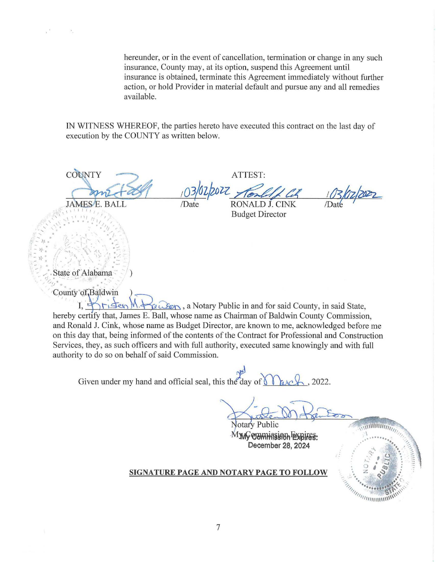hereunder, or in the event of cancellation, termination or change in any such insurance, County may, at its option, suspend this Agreement until insurance is obtained, terminate this Agreement immediately without further action, or hold Provider in material default and pursue any and all remedies available.

IN WITNESS WHEREOF, the parties here to have executed this contract on the last day of execution by the COUNTY as written below.

COUNTY **JAMESE, BALI** 

**RONALD J. CINK Budget Director** 

ATTEST:

State of Alabama

County of Baldwin

 $\forall$  a Notary Public in and for said County, in said State, 11 Sen hereby certify that, James E. Ball, whose name as Chairman of Baldwin County Commission, and Ronald J. Cink, whose name as Budget Director, are known to me, acknowledged before me on this day that, being informed of the contents of the Contract for Professional and Construction Services, they, as such officers and with full authority, executed same knowingly and with full authority to do so on behalf of said Commission.

Given under my hand and official seal, this the day of  $\setminus$ 2022.

otary Public М**УЛУ ОЭННАВУВЬ ЕХВІГЕЗ:** December 28, 2024

## SIGNATURE PAGE AND NOTARY PAGE TO FOLLOW

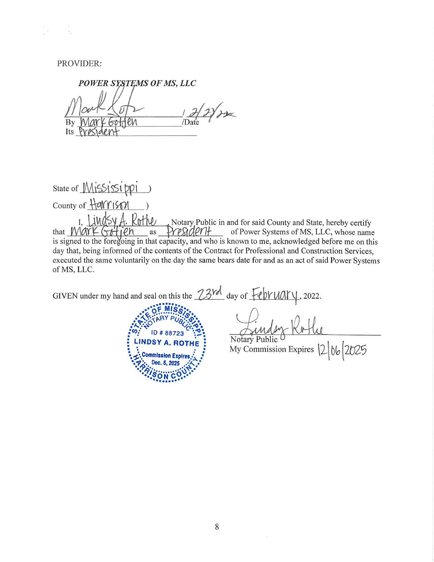PROVIDER:

POWER SYSTEMS OF MS, LLC  $\overline{\mathcal{L}}$ By /Date ev Its

State of Mississippi County of Harrism

1. Lindsy A. Rothe Notary Public in and for said County and State, hereby certify President of Power Systems of MS, LLC, whose name that Mark Gotien as is signed to the foregoing in that capacity, and who is known to me, acknowledged before me on this day that, being informed of the contents of the Contract for Professional and Construction Services, executed the same voluntarily on the day the same bears date for and as an act of said Power Systems of MS, LLC.

GIVEN under my hand and seal on this the  $23rd$  day of  $\frac{1}{2}$  (h)  $VUAV$ , 2022.



Notary Public My Commission Expires  $\left|2\right|06\left|2025\right|$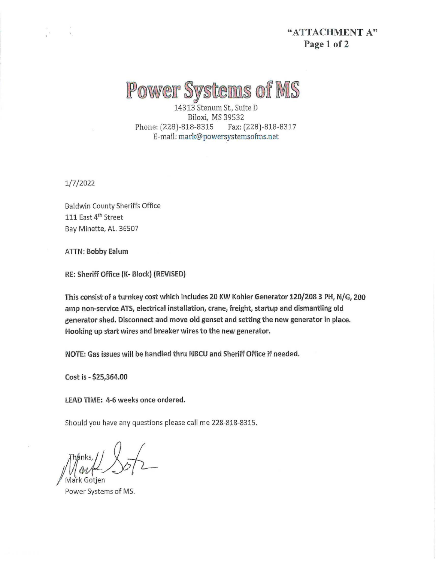# "ATTACHMENT A" Page 1 of 2

# Power Systems of MS

14313 Stenum St., Suite D Biloxi, MS 39532 Phone: (228)-818-8315 Fax: (228)-818-8317 E-mail: mark@powersystemsofms.net

1/7/2022

Baldwin County Sheriffs Office 111 East 4<sup>th</sup> Street Bay Minette, AL. 36507

ATIN: Bobby Ealum

RE: Sheriff Office (K- Block) (REVISED)

This consist of a turnkey cost which includes 20 KW Kohler Generator 120/208 3 PH, N/G, 200 amp non-service ATS, electrical installation, crane, freight, startup and dismantling old generator shed. Disconnect and move old genset and setting the new generator in place. Hooking up start wires and breaker wires to the new generator.

NOTE: Gas issues will be handled thru NBCU and Sheriff Office if needed.

Cost is - \$25,364.00

LEAD TIME: 4-6 weeks once ordered.

Should you have any questions please call me 228-818-8315.

*Aark Gotien* 

Power Systems of MS.